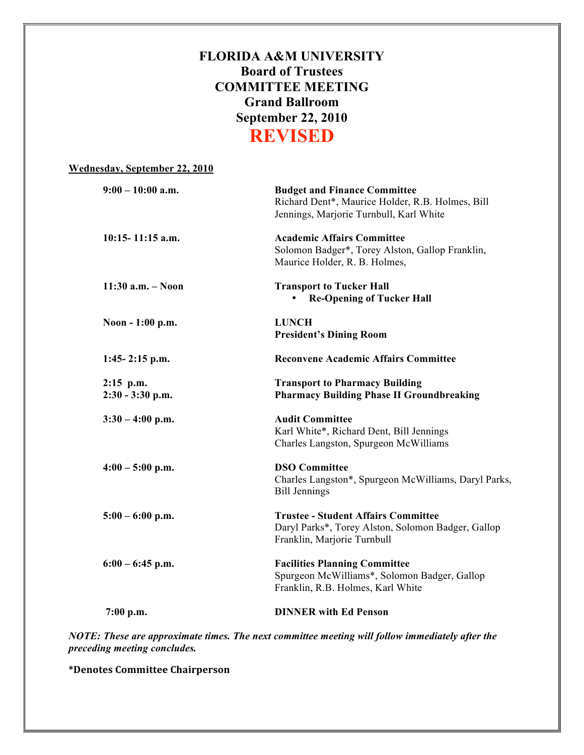## **FLORIDA A&M UNIVERSITY Board of Trustees COMMITTEE MEETING Grand Ballroom September 22, 2010 REVISED**

| <b>Budget and Finance Committee</b><br>Richard Dent*, Maurice Holder, R.B. Holmes, Bill<br>Jennings, Marjorie Turnbull, Karl White |
|------------------------------------------------------------------------------------------------------------------------------------|
| <b>Academic Affairs Committee</b><br>Solomon Badger*, Torey Alston, Gallop Franklin,<br>Maurice Holder, R. B. Holmes,              |
| <b>Transport to Tucker Hall</b><br><b>Re-Opening of Tucker Hall</b><br>$\bullet$                                                   |
| <b>LUNCH</b><br><b>President's Dining Room</b>                                                                                     |
| <b>Reconvene Academic Affairs Committee</b>                                                                                        |
| <b>Transport to Pharmacy Building</b><br><b>Pharmacy Building Phase II Groundbreaking</b>                                          |
| <b>Audit Committee</b><br>Karl White*, Richard Dent, Bill Jennings<br>Charles Langston, Spurgeon McWilliams                        |
| <b>DSO Committee</b><br>Charles Langston*, Spurgeon McWilliams, Daryl Parks,<br><b>Bill Jennings</b>                               |
| <b>Trustee - Student Affairs Committee</b><br>Daryl Parks*, Torey Alston, Solomon Badger, Gallop<br>Franklin, Marjorie Turnbull    |
| <b>Facilities Planning Committee</b><br>Spurgeon McWilliams*, Solomon Badger, Gallop<br>Franklin, R.B. Holmes, Karl White          |
| <b>DINNER</b> with Ed Penson                                                                                                       |
|                                                                                                                                    |

*NOTE: These are approximate times. The next committee meeting will follow immediately after the preceding meeting concludes.*

**\*Denotes
Committee
Chairperson**